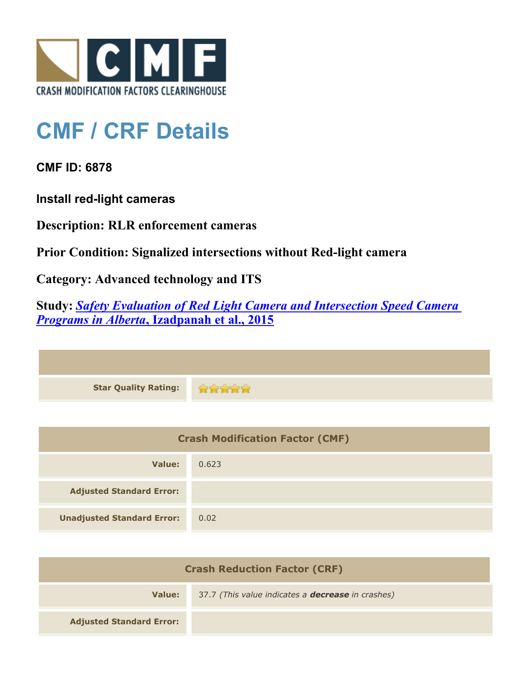

## **CMF / CRF Details**

**CMF ID: 6878**

**Install red-light cameras**

**Description: RLR enforcement cameras**

**Prior Condition: Signalized intersections without Red-light camera**

**Category: Advanced technology and ITS**

**Study:** *[Safety Evaluation of Red Light Camera and Intersection Speed Camera](http://www.cmfclearinghouse.org/study_detail.cfm?stid=412) [Programs in Alberta](http://www.cmfclearinghouse.org/study_detail.cfm?stid=412)***[, Izadpanah et al., 2015](http://www.cmfclearinghouse.org/study_detail.cfm?stid=412)**

| <b>Star Quality Rating:</b> |  |
|-----------------------------|--|

| <b>Crash Modification Factor (CMF)</b> |       |
|----------------------------------------|-------|
| Value:                                 | 0.623 |
| <b>Adjusted Standard Error:</b>        |       |
| <b>Unadjusted Standard Error:</b>      | 0.02  |

| <b>Crash Reduction Factor (CRF)</b> |                                                          |
|-------------------------------------|----------------------------------------------------------|
| Value:                              | 37.7 (This value indicates a <b>decrease</b> in crashes) |
| <b>Adjusted Standard Error:</b>     |                                                          |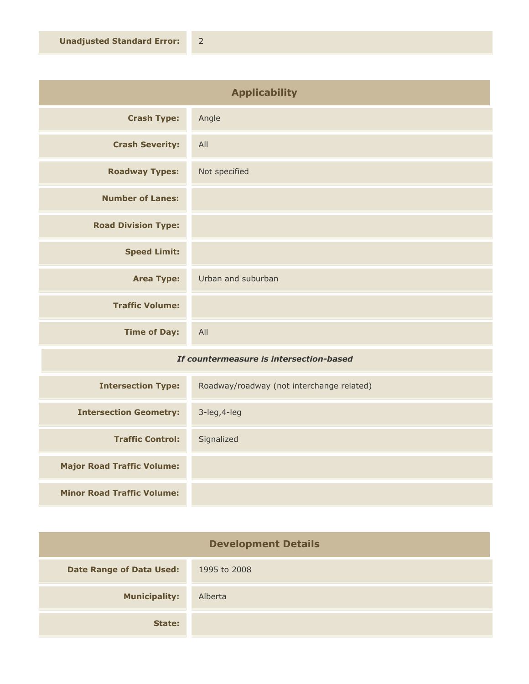| <b>Applicability</b>                         |                    |
|----------------------------------------------|--------------------|
| <b>Crash Type:</b>                           | Angle              |
| <b>Crash Severity:</b>                       | All                |
| <b>Roadway Types:</b>                        | Not specified      |
| <b>Number of Lanes:</b>                      |                    |
| <b>Road Division Type:</b>                   |                    |
| <b>Speed Limit:</b>                          |                    |
| <b>Area Type:</b>                            | Urban and suburban |
| <b>Traffic Volume:</b>                       |                    |
| <b>Time of Day:</b>                          | All                |
| The constance accuse to interestation becaul |                    |

## *If countermeasure is intersection-based*

| <b>Intersection Type:</b>         | Roadway/roadway (not interchange related) |
|-----------------------------------|-------------------------------------------|
| <b>Intersection Geometry:</b>     | $3$ -leg, $4$ -leg                        |
| <b>Traffic Control:</b>           | Signalized                                |
| <b>Major Road Traffic Volume:</b> |                                           |
| <b>Minor Road Traffic Volume:</b> |                                           |

| <b>Development Details</b>      |              |
|---------------------------------|--------------|
| <b>Date Range of Data Used:</b> | 1995 to 2008 |
| <b>Municipality:</b>            | Alberta      |
| State:                          |              |